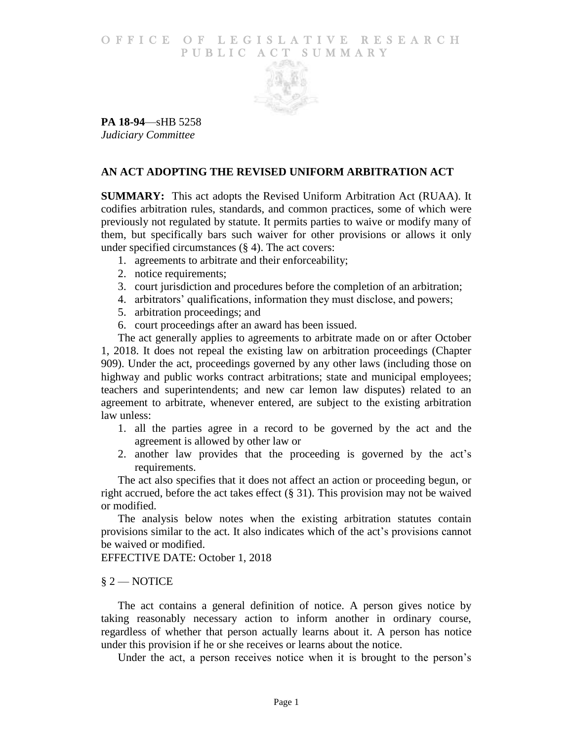## O F FICE OF LEGISLATIVE RESEARCH PUBLIC ACT SUMMARY



**PA 18-94**—sHB 5258 *Judiciary Committee*

# **AN ACT ADOPTING THE REVISED UNIFORM ARBITRATION ACT**

**SUMMARY:** This act adopts the Revised Uniform Arbitration Act (RUAA). It codifies arbitration rules, standards, and common practices, some of which were previously not regulated by statute. It permits parties to waive or modify many of them, but specifically bars such waiver for other provisions or allows it only under specified circumstances (§ 4). The act covers:

- 1. agreements to arbitrate and their enforceability;
- 2. notice requirements;
- 3. court jurisdiction and procedures before the completion of an arbitration;
- 4. arbitrators' qualifications, information they must disclose, and powers;
- 5. arbitration proceedings; and
- 6. court proceedings after an award has been issued.

The act generally applies to agreements to arbitrate made on or after October 1, 2018. It does not repeal the existing law on arbitration proceedings (Chapter 909). Under the act, proceedings governed by any other laws (including those on highway and public works contract arbitrations; state and municipal employees; teachers and superintendents; and new car lemon law disputes) related to an agreement to arbitrate, whenever entered, are subject to the existing arbitration law unless:

- 1. all the parties agree in a record to be governed by the act and the agreement is allowed by other law or
- 2. another law provides that the proceeding is governed by the act's requirements.

The act also specifies that it does not affect an action or proceeding begun, or right accrued, before the act takes effect (§ 31). This provision may not be waived or modified.

The analysis below notes when the existing arbitration statutes contain provisions similar to the act. It also indicates which of the act's provisions cannot be waived or modified.

EFFECTIVE DATE: October 1, 2018

# § 2 — NOTICE

The act contains a general definition of notice. A person gives notice by taking reasonably necessary action to inform another in ordinary course, regardless of whether that person actually learns about it. A person has notice under this provision if he or she receives or learns about the notice.

Under the act, a person receives notice when it is brought to the person's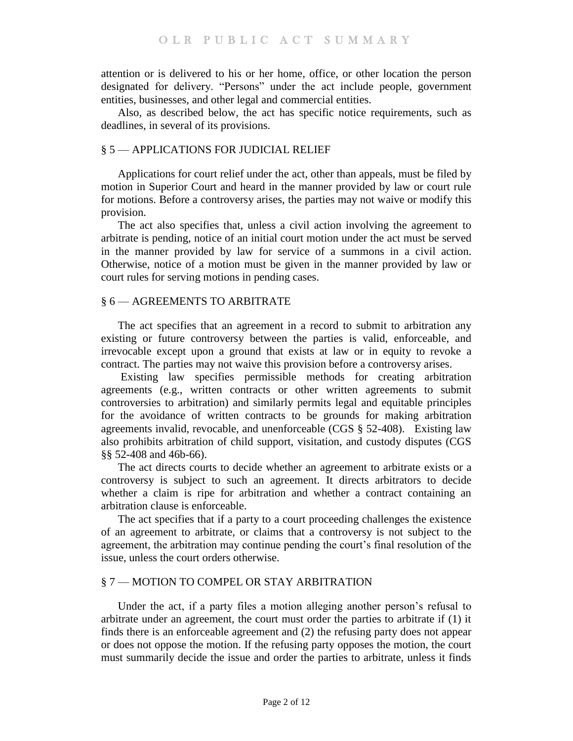attention or is delivered to his or her home, office, or other location the person designated for delivery. "Persons" under the act include people, government entities, businesses, and other legal and commercial entities.

Also, as described below, the act has specific notice requirements, such as deadlines, in several of its provisions.

# § 5 — APPLICATIONS FOR JUDICIAL RELIEF

Applications for court relief under the act, other than appeals, must be filed by motion in Superior Court and heard in the manner provided by law or court rule for motions. Before a controversy arises, the parties may not waive or modify this provision.

The act also specifies that, unless a civil action involving the agreement to arbitrate is pending, notice of an initial court motion under the act must be served in the manner provided by law for service of a summons in a civil action. Otherwise, notice of a motion must be given in the manner provided by law or court rules for serving motions in pending cases.

# § 6 — AGREEMENTS TO ARBITRATE

The act specifies that an agreement in a record to submit to arbitration any existing or future controversy between the parties is valid, enforceable, and irrevocable except upon a ground that exists at law or in equity to revoke a contract. The parties may not waive this provision before a controversy arises.

Existing law specifies permissible methods for creating arbitration agreements (e.g., written contracts or other written agreements to submit controversies to arbitration) and similarly permits legal and equitable principles for the avoidance of written contracts to be grounds for making arbitration agreements invalid, revocable, and unenforceable (CGS § 52-408). Existing law also prohibits arbitration of child support, visitation, and custody disputes (CGS §§ 52-408 and 46b-66).

The act directs courts to decide whether an agreement to arbitrate exists or a controversy is subject to such an agreement. It directs arbitrators to decide whether a claim is ripe for arbitration and whether a contract containing an arbitration clause is enforceable.

The act specifies that if a party to a court proceeding challenges the existence of an agreement to arbitrate, or claims that a controversy is not subject to the agreement, the arbitration may continue pending the court's final resolution of the issue, unless the court orders otherwise.

# § 7 — MOTION TO COMPEL OR STAY ARBITRATION

Under the act, if a party files a motion alleging another person's refusal to arbitrate under an agreement, the court must order the parties to arbitrate if (1) it finds there is an enforceable agreement and (2) the refusing party does not appear or does not oppose the motion. If the refusing party opposes the motion, the court must summarily decide the issue and order the parties to arbitrate, unless it finds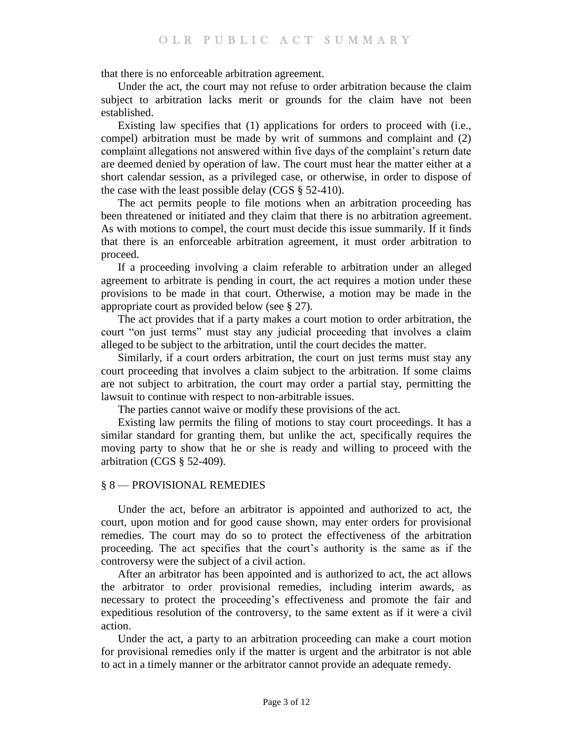that there is no enforceable arbitration agreement.

Under the act, the court may not refuse to order arbitration because the claim subject to arbitration lacks merit or grounds for the claim have not been established.

Existing law specifies that (1) applications for orders to proceed with (i.e., compel) arbitration must be made by writ of summons and complaint and (2) complaint allegations not answered within five days of the complaint's return date are deemed denied by operation of law. The court must hear the matter either at a short calendar session, as a privileged case, or otherwise, in order to dispose of the case with the least possible delay (CGS § 52-410).

The act permits people to file motions when an arbitration proceeding has been threatened or initiated and they claim that there is no arbitration agreement. As with motions to compel, the court must decide this issue summarily. If it finds that there is an enforceable arbitration agreement, it must order arbitration to proceed.

If a proceeding involving a claim referable to arbitration under an alleged agreement to arbitrate is pending in court, the act requires a motion under these provisions to be made in that court. Otherwise, a motion may be made in the appropriate court as provided below (see § 27).

The act provides that if a party makes a court motion to order arbitration, the court "on just terms" must stay any judicial proceeding that involves a claim alleged to be subject to the arbitration, until the court decides the matter.

Similarly, if a court orders arbitration, the court on just terms must stay any court proceeding that involves a claim subject to the arbitration. If some claims are not subject to arbitration, the court may order a partial stay, permitting the lawsuit to continue with respect to non-arbitrable issues.

The parties cannot waive or modify these provisions of the act.

Existing law permits the filing of motions to stay court proceedings. It has a similar standard for granting them, but unlike the act, specifically requires the moving party to show that he or she is ready and willing to proceed with the arbitration (CGS § 52-409).

#### § 8 — PROVISIONAL REMEDIES

Under the act, before an arbitrator is appointed and authorized to act, the court, upon motion and for good cause shown, may enter orders for provisional remedies. The court may do so to protect the effectiveness of the arbitration proceeding. The act specifies that the court's authority is the same as if the controversy were the subject of a civil action.

After an arbitrator has been appointed and is authorized to act, the act allows the arbitrator to order provisional remedies, including interim awards, as necessary to protect the proceeding's effectiveness and promote the fair and expeditious resolution of the controversy, to the same extent as if it were a civil action.

Under the act, a party to an arbitration proceeding can make a court motion for provisional remedies only if the matter is urgent and the arbitrator is not able to act in a timely manner or the arbitrator cannot provide an adequate remedy.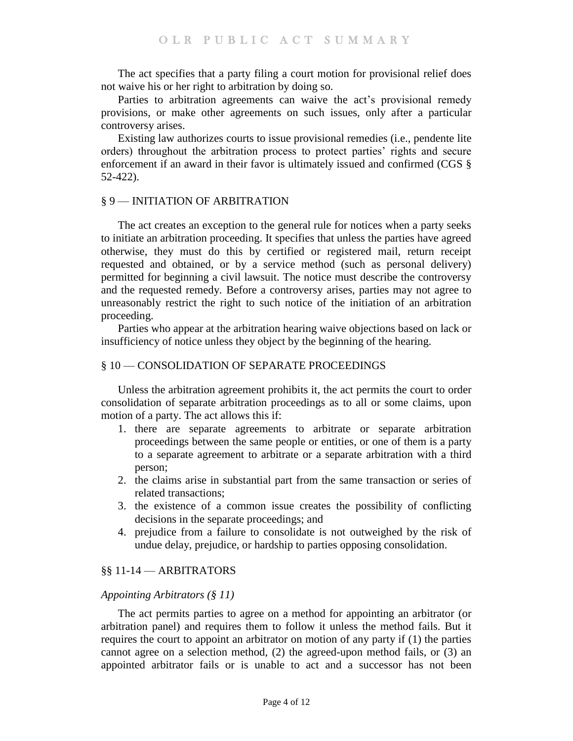The act specifies that a party filing a court motion for provisional relief does not waive his or her right to arbitration by doing so.

Parties to arbitration agreements can waive the act's provisional remedy provisions, or make other agreements on such issues, only after a particular controversy arises.

Existing law authorizes courts to issue provisional remedies (i.e., pendente lite orders) throughout the arbitration process to protect parties' rights and secure enforcement if an award in their favor is ultimately issued and confirmed (CGS § 52-422).

## § 9 — INITIATION OF ARBITRATION

The act creates an exception to the general rule for notices when a party seeks to initiate an arbitration proceeding. It specifies that unless the parties have agreed otherwise, they must do this by certified or registered mail, return receipt requested and obtained, or by a service method (such as personal delivery) permitted for beginning a civil lawsuit. The notice must describe the controversy and the requested remedy. Before a controversy arises, parties may not agree to unreasonably restrict the right to such notice of the initiation of an arbitration proceeding.

Parties who appear at the arbitration hearing waive objections based on lack or insufficiency of notice unless they object by the beginning of the hearing.

# § 10 — CONSOLIDATION OF SEPARATE PROCEEDINGS

Unless the arbitration agreement prohibits it, the act permits the court to order consolidation of separate arbitration proceedings as to all or some claims, upon motion of a party. The act allows this if:

- 1. there are separate agreements to arbitrate or separate arbitration proceedings between the same people or entities, or one of them is a party to a separate agreement to arbitrate or a separate arbitration with a third person;
- 2. the claims arise in substantial part from the same transaction or series of related transactions;
- 3. the existence of a common issue creates the possibility of conflicting decisions in the separate proceedings; and
- 4. prejudice from a failure to consolidate is not outweighed by the risk of undue delay, prejudice, or hardship to parties opposing consolidation.

# §§ 11-14 — ARBITRATORS

### *Appointing Arbitrators (§ 11)*

The act permits parties to agree on a method for appointing an arbitrator (or arbitration panel) and requires them to follow it unless the method fails. But it requires the court to appoint an arbitrator on motion of any party if (1) the parties cannot agree on a selection method, (2) the agreed-upon method fails, or (3) an appointed arbitrator fails or is unable to act and a successor has not been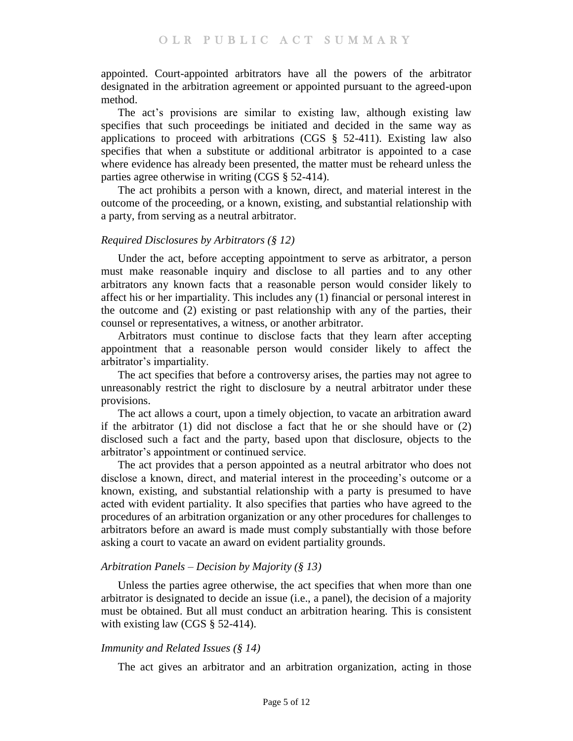appointed. Court-appointed arbitrators have all the powers of the arbitrator designated in the arbitration agreement or appointed pursuant to the agreed-upon method.

The act's provisions are similar to existing law, although existing law specifies that such proceedings be initiated and decided in the same way as applications to proceed with arbitrations (CGS  $\S$  52-411). Existing law also specifies that when a substitute or additional arbitrator is appointed to a case where evidence has already been presented, the matter must be reheard unless the parties agree otherwise in writing (CGS § 52-414).

The act prohibits a person with a known, direct, and material interest in the outcome of the proceeding, or a known, existing, and substantial relationship with a party, from serving as a neutral arbitrator.

### *Required Disclosures by Arbitrators (§ 12)*

Under the act, before accepting appointment to serve as arbitrator, a person must make reasonable inquiry and disclose to all parties and to any other arbitrators any known facts that a reasonable person would consider likely to affect his or her impartiality. This includes any (1) financial or personal interest in the outcome and (2) existing or past relationship with any of the parties, their counsel or representatives, a witness, or another arbitrator.

Arbitrators must continue to disclose facts that they learn after accepting appointment that a reasonable person would consider likely to affect the arbitrator's impartiality.

The act specifies that before a controversy arises, the parties may not agree to unreasonably restrict the right to disclosure by a neutral arbitrator under these provisions.

The act allows a court, upon a timely objection, to vacate an arbitration award if the arbitrator (1) did not disclose a fact that he or she should have or (2) disclosed such a fact and the party, based upon that disclosure, objects to the arbitrator's appointment or continued service.

The act provides that a person appointed as a neutral arbitrator who does not disclose a known, direct, and material interest in the proceeding's outcome or a known, existing, and substantial relationship with a party is presumed to have acted with evident partiality. It also specifies that parties who have agreed to the procedures of an arbitration organization or any other procedures for challenges to arbitrators before an award is made must comply substantially with those before asking a court to vacate an award on evident partiality grounds.

### *Arbitration Panels – Decision by Majority (§ 13)*

Unless the parties agree otherwise, the act specifies that when more than one arbitrator is designated to decide an issue (i.e., a panel), the decision of a majority must be obtained. But all must conduct an arbitration hearing. This is consistent with existing law (CGS § 52-414).

### *Immunity and Related Issues (§ 14)*

The act gives an arbitrator and an arbitration organization, acting in those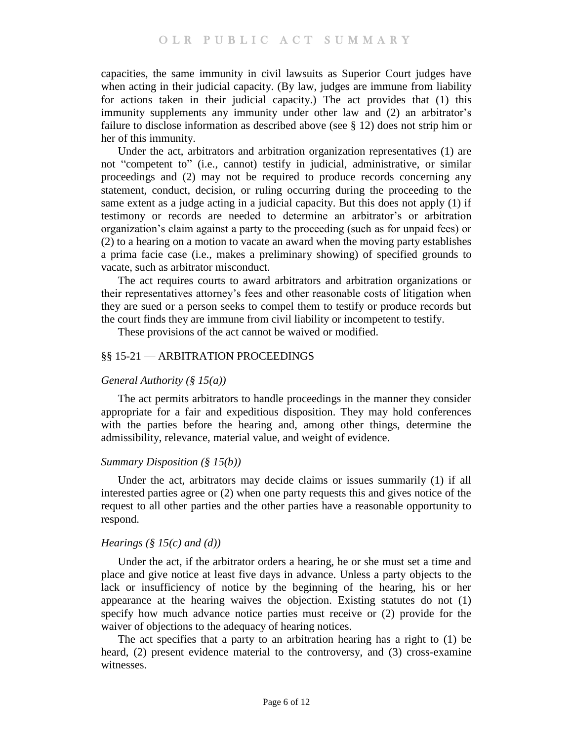capacities, the same immunity in civil lawsuits as Superior Court judges have when acting in their judicial capacity. (By law, judges are immune from liability for actions taken in their judicial capacity.) The act provides that (1) this immunity supplements any immunity under other law and (2) an arbitrator's failure to disclose information as described above (see § 12) does not strip him or her of this immunity.

Under the act, arbitrators and arbitration organization representatives (1) are not "competent to" (i.e., cannot) testify in judicial, administrative, or similar proceedings and (2) may not be required to produce records concerning any statement, conduct, decision, or ruling occurring during the proceeding to the same extent as a judge acting in a judicial capacity. But this does not apply (1) if testimony or records are needed to determine an arbitrator's or arbitration organization's claim against a party to the proceeding (such as for unpaid fees) or (2) to a hearing on a motion to vacate an award when the moving party establishes a prima facie case (i.e., makes a preliminary showing) of specified grounds to vacate, such as arbitrator misconduct.

The act requires courts to award arbitrators and arbitration organizations or their representatives attorney's fees and other reasonable costs of litigation when they are sued or a person seeks to compel them to testify or produce records but the court finds they are immune from civil liability or incompetent to testify.

These provisions of the act cannot be waived or modified.

## §§ 15-21 — ARBITRATION PROCEEDINGS

### *General Authority (§ 15(a))*

The act permits arbitrators to handle proceedings in the manner they consider appropriate for a fair and expeditious disposition. They may hold conferences with the parties before the hearing and, among other things, determine the admissibility, relevance, material value, and weight of evidence.

### *Summary Disposition (§ 15(b))*

Under the act, arbitrators may decide claims or issues summarily (1) if all interested parties agree or (2) when one party requests this and gives notice of the request to all other parties and the other parties have a reasonable opportunity to respond.

### *Hearings (§ 15(c) and (d))*

Under the act, if the arbitrator orders a hearing, he or she must set a time and place and give notice at least five days in advance. Unless a party objects to the lack or insufficiency of notice by the beginning of the hearing, his or her appearance at the hearing waives the objection. Existing statutes do not (1) specify how much advance notice parties must receive or (2) provide for the waiver of objections to the adequacy of hearing notices.

The act specifies that a party to an arbitration hearing has a right to (1) be heard, (2) present evidence material to the controversy, and (3) cross-examine witnesses.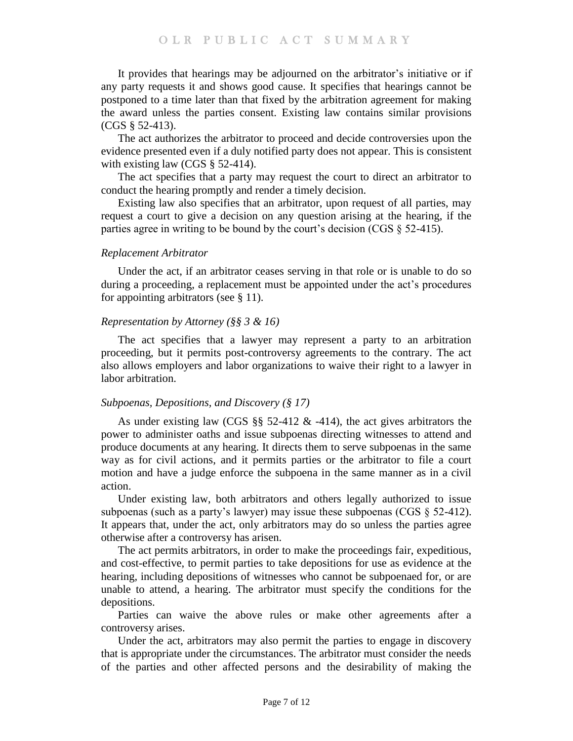It provides that hearings may be adjourned on the arbitrator's initiative or if any party requests it and shows good cause. It specifies that hearings cannot be postponed to a time later than that fixed by the arbitration agreement for making the award unless the parties consent. Existing law contains similar provisions (CGS § 52-413).

The act authorizes the arbitrator to proceed and decide controversies upon the evidence presented even if a duly notified party does not appear. This is consistent with existing law (CGS § 52-414).

The act specifies that a party may request the court to direct an arbitrator to conduct the hearing promptly and render a timely decision.

Existing law also specifies that an arbitrator, upon request of all parties, may request a court to give a decision on any question arising at the hearing, if the parties agree in writing to be bound by the court's decision (CGS § 52-415).

#### *Replacement Arbitrator*

Under the act, if an arbitrator ceases serving in that role or is unable to do so during a proceeding, a replacement must be appointed under the act's procedures for appointing arbitrators (see § 11).

### *Representation by Attorney (§§ 3 & 16)*

The act specifies that a lawyer may represent a party to an arbitration proceeding, but it permits post-controversy agreements to the contrary. The act also allows employers and labor organizations to waive their right to a lawyer in labor arbitration.

### *Subpoenas, Depositions, and Discovery (§ 17)*

As under existing law (CGS §§ 52-412 & -414), the act gives arbitrators the power to administer oaths and issue subpoenas directing witnesses to attend and produce documents at any hearing. It directs them to serve subpoenas in the same way as for civil actions, and it permits parties or the arbitrator to file a court motion and have a judge enforce the subpoena in the same manner as in a civil action.

Under existing law, both arbitrators and others legally authorized to issue subpoenas (such as a party's lawyer) may issue these subpoenas (CGS § 52-412). It appears that, under the act, only arbitrators may do so unless the parties agree otherwise after a controversy has arisen.

The act permits arbitrators, in order to make the proceedings fair, expeditious, and cost-effective, to permit parties to take depositions for use as evidence at the hearing, including depositions of witnesses who cannot be subpoenaed for, or are unable to attend, a hearing. The arbitrator must specify the conditions for the depositions.

Parties can waive the above rules or make other agreements after a controversy arises.

Under the act, arbitrators may also permit the parties to engage in discovery that is appropriate under the circumstances. The arbitrator must consider the needs of the parties and other affected persons and the desirability of making the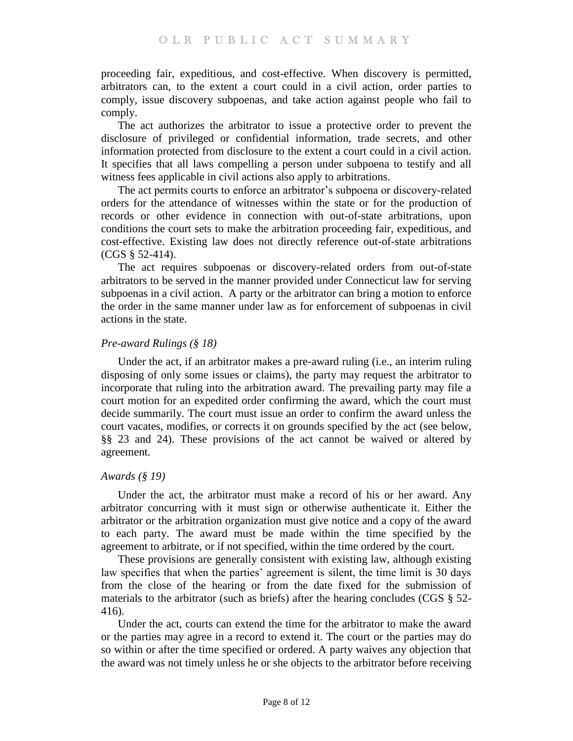proceeding fair, expeditious, and cost-effective. When discovery is permitted, arbitrators can, to the extent a court could in a civil action, order parties to comply, issue discovery subpoenas, and take action against people who fail to comply.

The act authorizes the arbitrator to issue a protective order to prevent the disclosure of privileged or confidential information, trade secrets, and other information protected from disclosure to the extent a court could in a civil action. It specifies that all laws compelling a person under subpoena to testify and all witness fees applicable in civil actions also apply to arbitrations.

The act permits courts to enforce an arbitrator's subpoena or discovery-related orders for the attendance of witnesses within the state or for the production of records or other evidence in connection with out-of-state arbitrations, upon conditions the court sets to make the arbitration proceeding fair, expeditious, and cost-effective. Existing law does not directly reference out-of-state arbitrations (CGS § 52-414).

The act requires subpoenas or discovery-related orders from out-of-state arbitrators to be served in the manner provided under Connecticut law for serving subpoenas in a civil action. A party or the arbitrator can bring a motion to enforce the order in the same manner under law as for enforcement of subpoenas in civil actions in the state.

# *Pre-award Rulings (§ 18)*

Under the act, if an arbitrator makes a pre-award ruling (i.e., an interim ruling disposing of only some issues or claims), the party may request the arbitrator to incorporate that ruling into the arbitration award. The prevailing party may file a court motion for an expedited order confirming the award, which the court must decide summarily. The court must issue an order to confirm the award unless the court vacates, modifies, or corrects it on grounds specified by the act (see below, §§ 23 and 24). These provisions of the act cannot be waived or altered by agreement.

### *Awards (§ 19)*

Under the act, the arbitrator must make a record of his or her award. Any arbitrator concurring with it must sign or otherwise authenticate it. Either the arbitrator or the arbitration organization must give notice and a copy of the award to each party. The award must be made within the time specified by the agreement to arbitrate, or if not specified, within the time ordered by the court.

These provisions are generally consistent with existing law, although existing law specifies that when the parties' agreement is silent, the time limit is 30 days from the close of the hearing or from the date fixed for the submission of materials to the arbitrator (such as briefs) after the hearing concludes (CGS § 52- 416).

Under the act, courts can extend the time for the arbitrator to make the award or the parties may agree in a record to extend it. The court or the parties may do so within or after the time specified or ordered. A party waives any objection that the award was not timely unless he or she objects to the arbitrator before receiving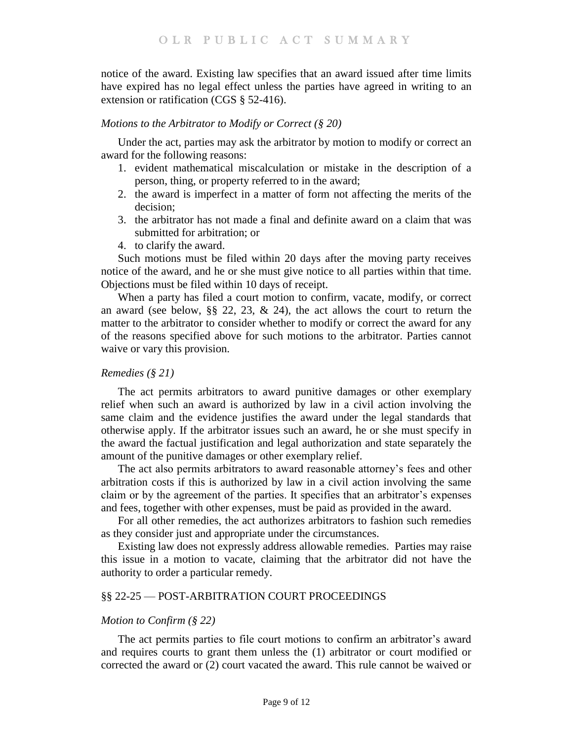notice of the award. Existing law specifies that an award issued after time limits have expired has no legal effect unless the parties have agreed in writing to an extension or ratification (CGS § 52-416).

#### *Motions to the Arbitrator to Modify or Correct (§ 20)*

Under the act, parties may ask the arbitrator by motion to modify or correct an award for the following reasons:

- 1. evident mathematical miscalculation or mistake in the description of a person, thing, or property referred to in the award;
- 2. the award is imperfect in a matter of form not affecting the merits of the decision;
- 3. the arbitrator has not made a final and definite award on a claim that was submitted for arbitration; or
- 4. to clarify the award.

Such motions must be filed within 20 days after the moving party receives notice of the award, and he or she must give notice to all parties within that time. Objections must be filed within 10 days of receipt.

When a party has filed a court motion to confirm, vacate, modify, or correct an award (see below, §§ 22, 23, & 24), the act allows the court to return the matter to the arbitrator to consider whether to modify or correct the award for any of the reasons specified above for such motions to the arbitrator. Parties cannot waive or vary this provision.

#### *Remedies (§ 21)*

The act permits arbitrators to award punitive damages or other exemplary relief when such an award is authorized by law in a civil action involving the same claim and the evidence justifies the award under the legal standards that otherwise apply. If the arbitrator issues such an award, he or she must specify in the award the factual justification and legal authorization and state separately the amount of the punitive damages or other exemplary relief.

The act also permits arbitrators to award reasonable attorney's fees and other arbitration costs if this is authorized by law in a civil action involving the same claim or by the agreement of the parties. It specifies that an arbitrator's expenses and fees, together with other expenses, must be paid as provided in the award.

For all other remedies, the act authorizes arbitrators to fashion such remedies as they consider just and appropriate under the circumstances.

Existing law does not expressly address allowable remedies. Parties may raise this issue in a motion to vacate, claiming that the arbitrator did not have the authority to order a particular remedy.

### §§ 22-25 — POST-ARBITRATION COURT PROCEEDINGS

#### *Motion to Confirm (§ 22)*

The act permits parties to file court motions to confirm an arbitrator's award and requires courts to grant them unless the (1) arbitrator or court modified or corrected the award or (2) court vacated the award. This rule cannot be waived or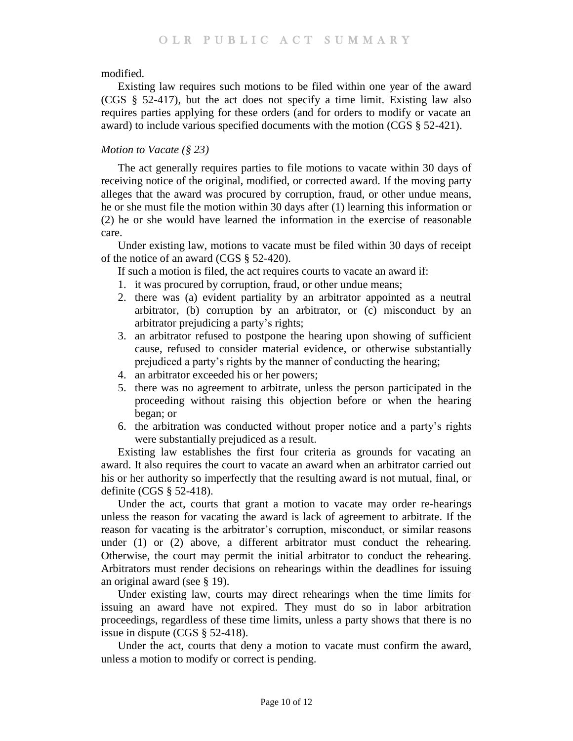modified.

Existing law requires such motions to be filed within one year of the award (CGS § 52-417), but the act does not specify a time limit. Existing law also requires parties applying for these orders (and for orders to modify or vacate an award) to include various specified documents with the motion (CGS § 52-421).

# *Motion to Vacate (§ 23)*

The act generally requires parties to file motions to vacate within 30 days of receiving notice of the original, modified, or corrected award. If the moving party alleges that the award was procured by corruption, fraud, or other undue means, he or she must file the motion within 30 days after (1) learning this information or (2) he or she would have learned the information in the exercise of reasonable care.

Under existing law, motions to vacate must be filed within 30 days of receipt of the notice of an award (CGS § 52-420).

If such a motion is filed, the act requires courts to vacate an award if:

- 1. it was procured by corruption, fraud, or other undue means;
- 2. there was (a) evident partiality by an arbitrator appointed as a neutral arbitrator, (b) corruption by an arbitrator, or (c) misconduct by an arbitrator prejudicing a party's rights;
- 3. an arbitrator refused to postpone the hearing upon showing of sufficient cause, refused to consider material evidence, or otherwise substantially prejudiced a party's rights by the manner of conducting the hearing;
- 4. an arbitrator exceeded his or her powers;
- 5. there was no agreement to arbitrate, unless the person participated in the proceeding without raising this objection before or when the hearing began; or
- 6. the arbitration was conducted without proper notice and a party's rights were substantially prejudiced as a result.

Existing law establishes the first four criteria as grounds for vacating an award. It also requires the court to vacate an award when an arbitrator carried out his or her authority so imperfectly that the resulting award is not mutual, final, or definite (CGS § 52-418).

Under the act, courts that grant a motion to vacate may order re-hearings unless the reason for vacating the award is lack of agreement to arbitrate. If the reason for vacating is the arbitrator's corruption, misconduct, or similar reasons under (1) or (2) above, a different arbitrator must conduct the rehearing. Otherwise, the court may permit the initial arbitrator to conduct the rehearing. Arbitrators must render decisions on rehearings within the deadlines for issuing an original award (see § 19).

Under existing law, courts may direct rehearings when the time limits for issuing an award have not expired. They must do so in labor arbitration proceedings, regardless of these time limits, unless a party shows that there is no issue in dispute (CGS § 52-418).

Under the act, courts that deny a motion to vacate must confirm the award, unless a motion to modify or correct is pending.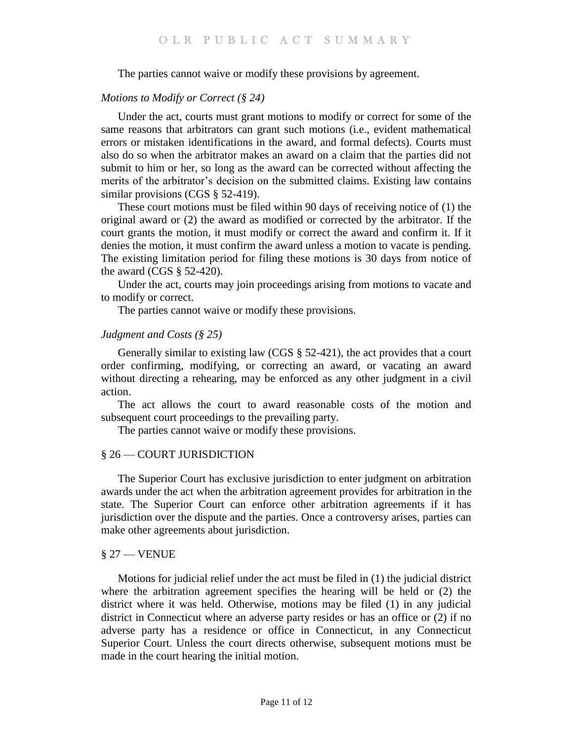The parties cannot waive or modify these provisions by agreement.

### *Motions to Modify or Correct (§ 24)*

Under the act, courts must grant motions to modify or correct for some of the same reasons that arbitrators can grant such motions (i.e., evident mathematical errors or mistaken identifications in the award, and formal defects). Courts must also do so when the arbitrator makes an award on a claim that the parties did not submit to him or her, so long as the award can be corrected without affecting the merits of the arbitrator's decision on the submitted claims. Existing law contains similar provisions (CGS § 52-419).

These court motions must be filed within 90 days of receiving notice of (1) the original award or (2) the award as modified or corrected by the arbitrator. If the court grants the motion, it must modify or correct the award and confirm it. If it denies the motion, it must confirm the award unless a motion to vacate is pending. The existing limitation period for filing these motions is 30 days from notice of the award (CGS  $\S$  52-420).

Under the act, courts may join proceedings arising from motions to vacate and to modify or correct.

The parties cannot waive or modify these provisions.

### *Judgment and Costs (§ 25)*

Generally similar to existing law (CGS § 52-421), the act provides that a court order confirming, modifying, or correcting an award, or vacating an award without directing a rehearing, may be enforced as any other judgment in a civil action.

The act allows the court to award reasonable costs of the motion and subsequent court proceedings to the prevailing party.

The parties cannot waive or modify these provisions.

### § 26 — COURT JURISDICTION

The Superior Court has exclusive jurisdiction to enter judgment on arbitration awards under the act when the arbitration agreement provides for arbitration in the state. The Superior Court can enforce other arbitration agreements if it has jurisdiction over the dispute and the parties. Once a controversy arises, parties can make other agreements about jurisdiction.

#### § 27 — VENUE

Motions for judicial relief under the act must be filed in (1) the judicial district where the arbitration agreement specifies the hearing will be held or (2) the district where it was held. Otherwise, motions may be filed (1) in any judicial district in Connecticut where an adverse party resides or has an office or (2) if no adverse party has a residence or office in Connecticut, in any Connecticut Superior Court. Unless the court directs otherwise, subsequent motions must be made in the court hearing the initial motion.